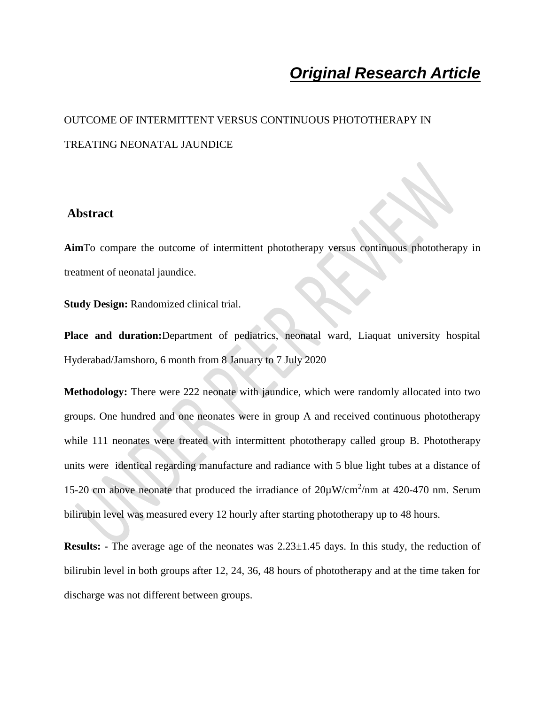# *Original Research Article*

# OUTCOME OF INTERMITTENT VERSUS CONTINUOUS PHOTOTHERAPY IN TREATING NEONATAL JAUNDICE

#### **Abstract**

**Aim**To compare the outcome of intermittent phototherapy versus continuous phototherapy in treatment of neonatal jaundice.

**Study Design:** Randomized clinical trial.

**Place and duration:**Department of pediatrics, neonatal ward, Liaquat university hospital Hyderabad/Jamshoro, 6 month from 8 January to 7 July 2020

**Methodology:** There were 222 neonate with jaundice, which were randomly allocated into two groups. One hundred and one neonates were in group A and received continuous phototherapy while 111 neonates were treated with intermittent phototherapy called group B. Phototherapy units were identical regarding manufacture and radiance with 5 blue light tubes at a distance of 15-20 cm above neonate that produced the irradiance of  $20\mu$ W/cm<sup>2</sup>/nm at 420-470 nm. Serum bilirubin level was measured every 12 hourly after starting phototherapy up to 48 hours.

**Results:** - The average age of the neonates was 2.23 $\pm$ 1.45 days. In this study, the reduction of bilirubin level in both groups after 12, 24, 36, 48 hours of phototherapy and at the time taken for discharge was not different between groups.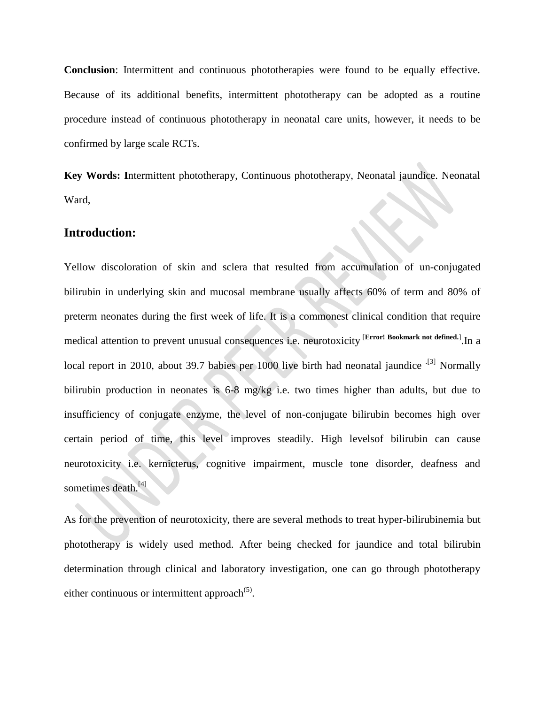**Conclusion**: Intermittent and continuous phototherapies were found to be equally effective. Because of its additional benefits, intermittent phototherapy can be adopted as a routine procedure instead of continuous phototherapy in neonatal care units, however, it needs to be confirmed by large scale RCTs.

**Key Words: I**ntermittent phototherapy, Continuous phototherapy, Neonatal jaundice. Neonatal Ward,

#### **Introduction:**

Yellow discoloration of skin and sclera that resulted from accumulation of un-conjugated bilirubin in underlying skin and mucosal membrane usually affects 60% of term and 80% of preterm neonates during the first week of life. It is a commonest clinical condition that require medical attention to prevent unusual consequences i.e. neurotoxicity [**Error! Bookmark not defined.**] .In a local report in 2010, about 39.7 babies per 1000 live birth had neonatal jaundice <sup>.[3]</sup> Normally bilirubin production in neonates is 6-8 mg/kg i.e. two times higher than adults, but due to insufficiency of conjugate enzyme, the level of non-conjugate bilirubin becomes high over certain period of time, this level improves steadily. High levelsof bilirubin can cause neurotoxicity i.e. kernicterus, cognitive impairment, muscle tone disorder, deafness and sometimes death.<sup>[4]</sup>

As for the prevention of neurotoxicity, there are several methods to treat hyper-bilirubinemia but phototherapy is widely used method. After being checked for jaundice and total bilirubin determination through clinical and laboratory investigation, one can go through phototherapy either continuous or intermittent approach $(5)$ .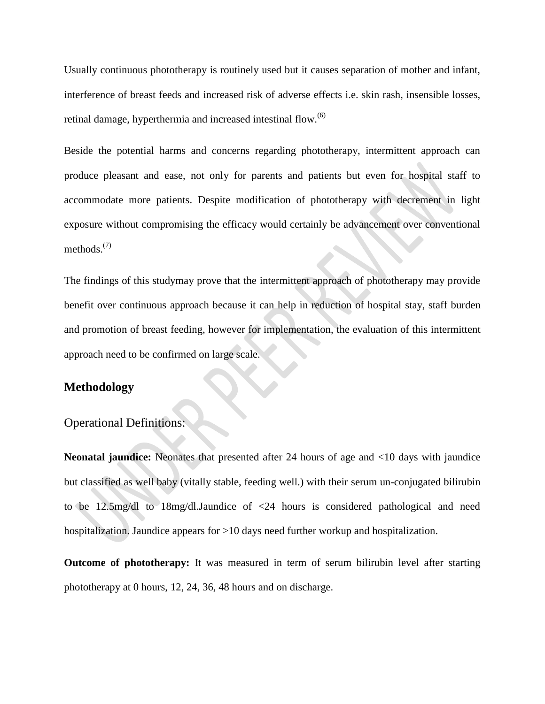Usually continuous phototherapy is routinely used but it causes separation of mother and infant, interference of breast feeds and increased risk of adverse effects i.e. skin rash, insensible losses, retinal damage, hyperthermia and increased intestinal flow. $^{(6)}$ 

Beside the potential harms and concerns regarding phototherapy, intermittent approach can produce pleasant and ease, not only for parents and patients but even for hospital staff to accommodate more patients. Despite modification of phototherapy with decrement in light exposure without compromising the efficacy would certainly be advancement over conventional methods. $(7)$ 

The findings of this studymay prove that the intermittent approach of phototherapy may provide benefit over continuous approach because it can help in reduction of hospital stay, staff burden and promotion of breast feeding, however for implementation, the evaluation of this intermittent approach need to be confirmed on large scale.

### **Methodology**

### Operational Definitions:

**Neonatal jaundice:** Neonates that presented after 24 hours of age and <10 days with jaundice but classified as well baby (vitally stable, feeding well.) with their serum un-conjugated bilirubin to be 12.5mg/dl to 18mg/dl.Jaundice of <24 hours is considered pathological and need hospitalization. Jaundice appears for >10 days need further workup and hospitalization.

**Outcome of phototherapy:** It was measured in term of serum bilirubin level after starting phototherapy at 0 hours, 12, 24, 36, 48 hours and on discharge.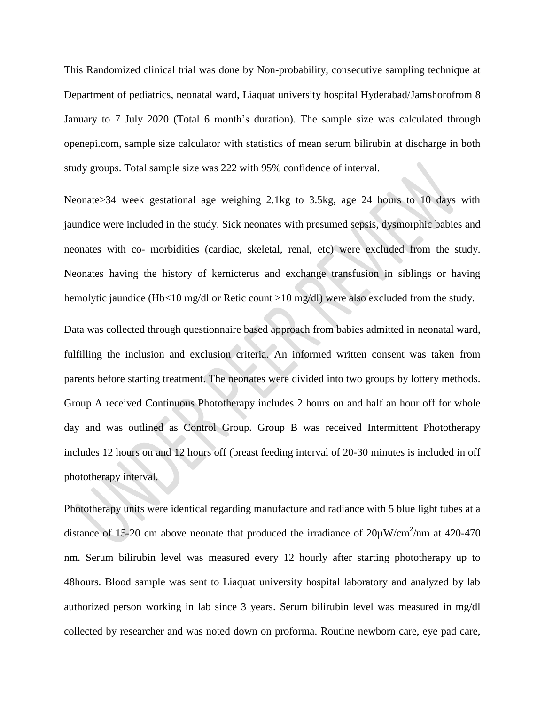This Randomized clinical trial was done by Non-probability, consecutive sampling technique at Department of pediatrics, neonatal ward, Liaquat university hospital Hyderabad/Jamshorofrom 8 January to 7 July 2020 (Total 6 month's duration). The sample size was calculated through openepi.com, sample size calculator with statistics of mean serum bilirubin at discharge in both study groups. Total sample size was 222 with 95% confidence of interval.

Neonate>34 week gestational age weighing 2.1kg to 3.5kg, age 24 hours to 10 days with jaundice were included in the study. Sick neonates with presumed sepsis, dysmorphic babies and neonates with co- morbidities (cardiac, skeletal, renal, etc) were excluded from the study. Neonates having the history of kernicterus and exchange transfusion in siblings or having hemolytic jaundice (Hb<10 mg/dl or Retic count >10 mg/dl) were also excluded from the study.

Data was collected through questionnaire based approach from babies admitted in neonatal ward, fulfilling the inclusion and exclusion criteria. An informed written consent was taken from parents before starting treatment. The neonates were divided into two groups by lottery methods. Group A received Continuous Phototherapy includes 2 hours on and half an hour off for whole day and was outlined as Control Group. Group B was received Intermittent Phototherapy includes 12 hours on and 12 hours off (breast feeding interval of 20-30 minutes is included in off phototherapy interval.

Phototherapy units were identical regarding manufacture and radiance with 5 blue light tubes at a distance of 15-20 cm above neonate that produced the irradiance of  $20\mu\text{W/cm}^2/\text{nm}$  at 420-470 nm. Serum bilirubin level was measured every 12 hourly after starting phototherapy up to 48hours. Blood sample was sent to Liaquat university hospital laboratory and analyzed by lab authorized person working in lab since 3 years. Serum bilirubin level was measured in mg/dl collected by researcher and was noted down on proforma. Routine newborn care, eye pad care,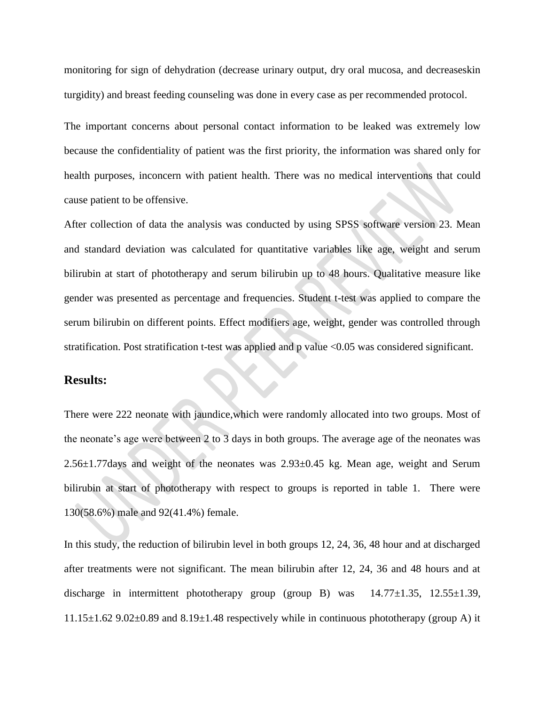monitoring for sign of dehydration (decrease urinary output, dry oral mucosa, and decreaseskin turgidity) and breast feeding counseling was done in every case as per recommended protocol.

The important concerns about personal contact information to be leaked was extremely low because the confidentiality of patient was the first priority, the information was shared only for health purposes, inconcern with patient health. There was no medical interventions that could cause patient to be offensive.

After collection of data the analysis was conducted by using SPSS software version 23. Mean and standard deviation was calculated for quantitative variables like age, weight and serum bilirubin at start of phototherapy and serum bilirubin up to 48 hours. Qualitative measure like gender was presented as percentage and frequencies. Student t-test was applied to compare the serum bilirubin on different points. Effect modifiers age, weight, gender was controlled through stratification. Post stratification t-test was applied and p value <0.05 was considered significant.

#### **Results:**

There were 222 neonate with jaundice,which were randomly allocated into two groups. Most of the neonate's age were between 2 to 3 days in both groups. The average age of the neonates was 2.56±1.77days and weight of the neonates was 2.93±0.45 kg. Mean age, weight and Serum bilirubin at start of phototherapy with respect to groups is reported in table 1. There were 130(58.6%) male and 92(41.4%) female.

In this study, the reduction of bilirubin level in both groups 12, 24, 36, 48 hour and at discharged after treatments were not significant. The mean bilirubin after 12, 24, 36 and 48 hours and at discharge in intermittent phototherapy group (group B) was  $14.77 \pm 1.35$ ,  $12.55 \pm 1.39$ ,  $11.15\pm1.62$  9.02 $\pm$ 0.89 and 8.19 $\pm$ 1.48 respectively while in continuous phototherapy (group A) it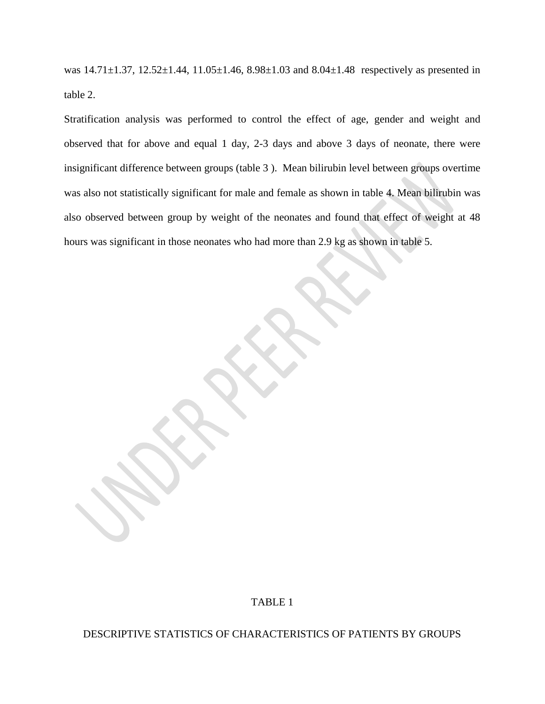was  $14.71 \pm 1.37$ ,  $12.52 \pm 1.44$ ,  $11.05 \pm 1.46$ ,  $8.98 \pm 1.03$  and  $8.04 \pm 1.48$  respectively as presented in table 2.

Stratification analysis was performed to control the effect of age, gender and weight and observed that for above and equal 1 day, 2-3 days and above 3 days of neonate, there were insignificant difference between groups (table 3 ). Mean bilirubin level between groups overtime was also not statistically significant for male and female as shown in table 4. Mean bilirubin was also observed between group by weight of the neonates and found that effect of weight at 48 hours was significant in those neonates who had more than 2.9 kg as shown in table 5.

### TABLE 1

#### DESCRIPTIVE STATISTICS OF CHARACTERISTICS OF PATIENTS BY GROUPS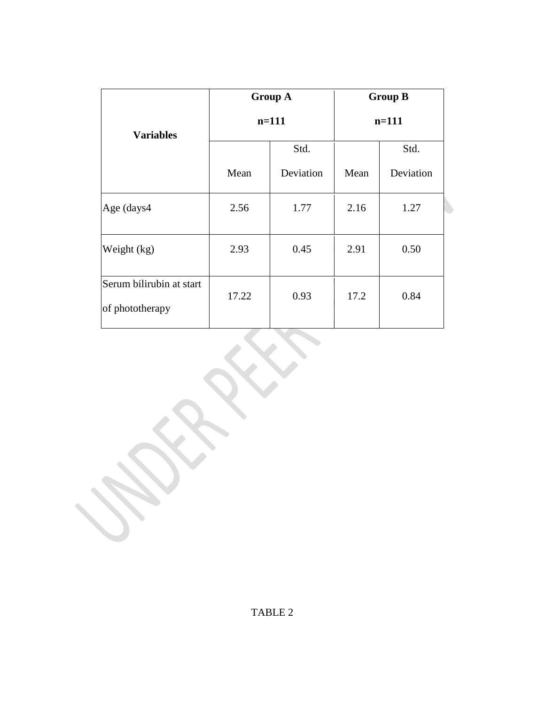|                                             |       | <b>Group A</b> | <b>Group B</b> |           |  |
|---------------------------------------------|-------|----------------|----------------|-----------|--|
| <b>Variables</b>                            |       | $n=111$        | $n=111$        |           |  |
|                                             |       | Std.           |                | Std.      |  |
|                                             | Mean  | Deviation      | Mean           | Deviation |  |
| Age (days4                                  | 2.56  | 1.77           | 2.16           | 1.27      |  |
| Weight (kg)                                 | 2.93  | 0.45           | 2.91           | 0.50      |  |
| Serum bilirubin at start<br>of phototherapy | 17.22 | 0.93           | 17.2           | 0.84      |  |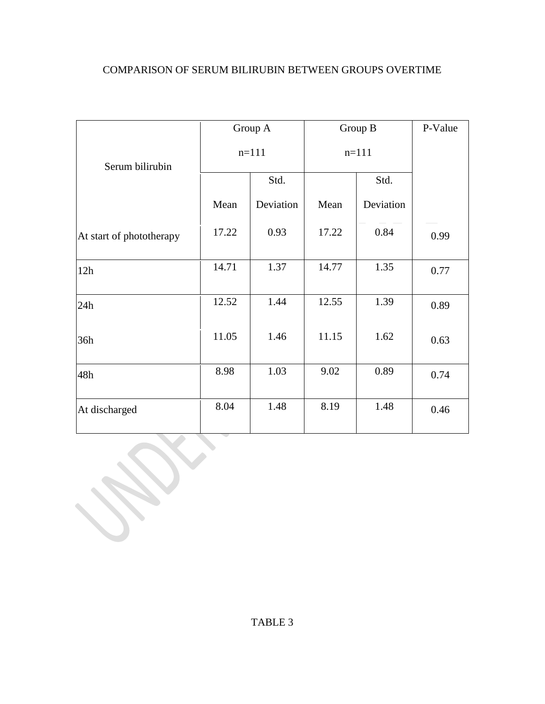| <b>COMPARISON OF SERUM BILIRUBIN BETWEEN GROUPS OVERTIME</b> |  |  |  |  |
|--------------------------------------------------------------|--|--|--|--|
|--------------------------------------------------------------|--|--|--|--|

|                          |         | Group A   | Group B |           | P-Value |
|--------------------------|---------|-----------|---------|-----------|---------|
| Serum bilirubin          | $n=111$ |           | $n=111$ |           |         |
|                          |         | Std.      |         | Std.      |         |
|                          | Mean    | Deviation | Mean    | Deviation |         |
| At start of phototherapy | 17.22   | 0.93      | 17.22   | 0.84      | 0.99    |
| 12h                      | 14.71   | 1.37      | 14.77   | 1.35      | 0.77    |
| 24h                      | 12.52   | 1.44      | 12.55   | 1.39      | 0.89    |
| 36h                      | 11.05   | 1.46      | 11.15   | 1.62      | 0.63    |
| 48h                      | 8.98    | 1.03      | 9.02    | 0.89      | 0.74    |
| At discharged            | 8.04    | 1.48      | 8.19    | 1.48      | 0.46    |

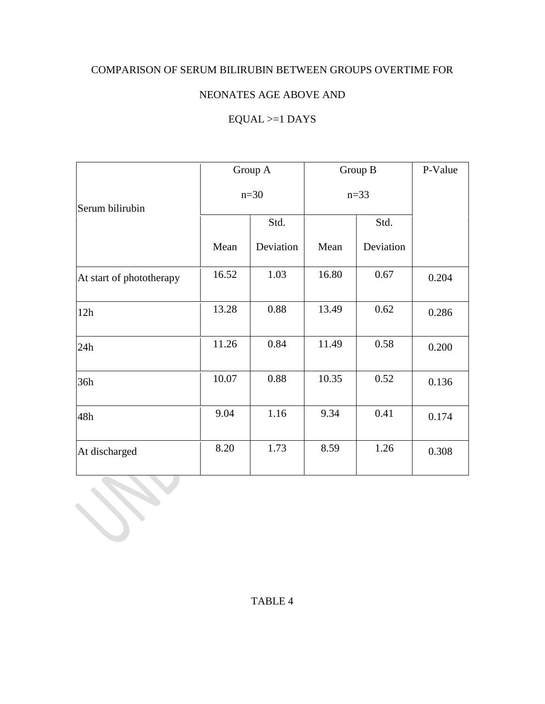## COMPARISON OF SERUM BILIRUBIN BETWEEN GROUPS OVERTIME FOR

## NEONATES AGE ABOVE AND

# $EQUAL >=1$  DAYS

|                          |        | Group A   | Group B  |           | P-Value |
|--------------------------|--------|-----------|----------|-----------|---------|
| Serum bilirubin          | $n=30$ |           | $n = 33$ |           |         |
|                          |        | Std.      |          | Std.      |         |
|                          | Mean   | Deviation | Mean     | Deviation |         |
| At start of phototherapy | 16.52  | 1.03      | 16.80    | 0.67      | 0.204   |
| 12h                      | 13.28  | 0.88      | 13.49    | 0.62      | 0.286   |
| 24h                      | 11.26  | 0.84      | 11.49    | 0.58      | 0.200   |
| 36h                      | 10.07  | 0.88      | 10.35    | 0.52      | 0.136   |
| 48h                      | 9.04   | 1.16      | 9.34     | 0.41      | 0.174   |
| At discharged            | 8.20   | 1.73      | 8.59     | 1.26      | 0.308   |

# TABLE 4

**SEP**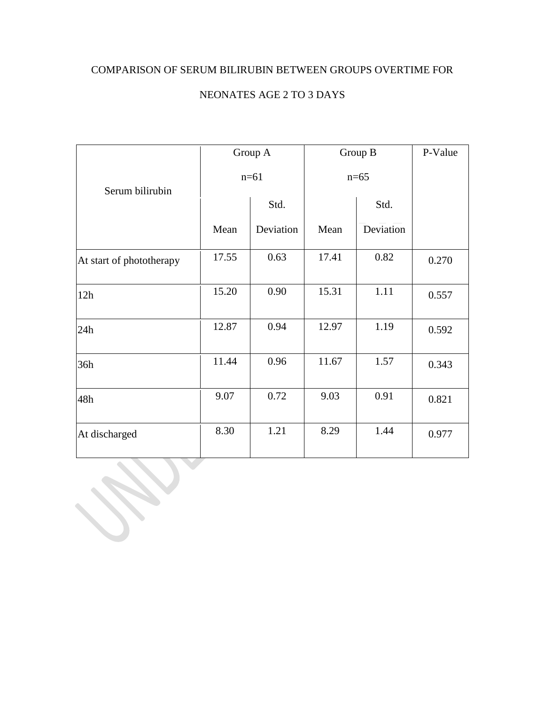## COMPARISON OF SERUM BILIRUBIN BETWEEN GROUPS OVERTIME FOR

# NEONATES AGE 2 TO 3 DAYS

|                          |        | Group A   | Group B |           | P-Value |
|--------------------------|--------|-----------|---------|-----------|---------|
| Serum bilirubin          | $n=61$ |           | $n=65$  |           |         |
|                          |        | Std.      |         | Std.      |         |
|                          | Mean   | Deviation | Mean    | Deviation |         |
| At start of phototherapy | 17.55  | 0.63      | 17.41   | 0.82      | 0.270   |
| 12h                      | 15.20  | 0.90      | 15.31   | 1.11      | 0.557   |
| 24h                      | 12.87  | 0.94      | 12.97   | 1.19      | 0.592   |
| 36h                      | 11.44  | 0.96      | 11.67   | 1.57      | 0.343   |
| 48h                      | 9.07   | 0.72      | 9.03    | 0.91      | 0.821   |
| At discharged            | 8.30   | 1.21      | 8.29    | 1.44      | 0.977   |

**Contract Contract Contract**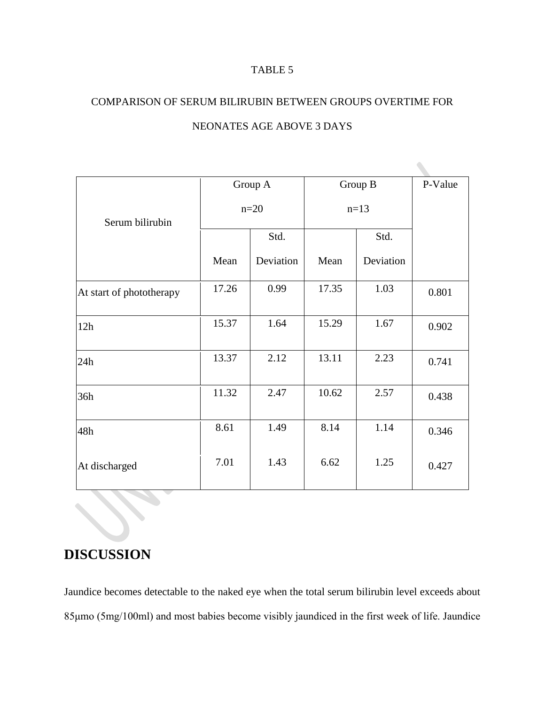#### TABLE 5

# COMPARISON OF SERUM BILIRUBIN BETWEEN GROUPS OVERTIME FOR

|                          |        | Group A   | Group B |           | P-Value |
|--------------------------|--------|-----------|---------|-----------|---------|
| Serum bilirubin          | $n=20$ |           | $n=13$  |           |         |
|                          |        | Std.      |         | Std.      |         |
|                          | Mean   | Deviation | Mean    | Deviation |         |
| At start of phototherapy | 17.26  | 0.99      | 17.35   | 1.03      | 0.801   |
| 12h                      | 15.37  | 1.64      | 15.29   | 1.67      | 0.902   |
| 24h                      | 13.37  | 2.12      | 13.11   | 2.23      | 0.741   |
| 36h                      | 11.32  | 2.47      | 10.62   | 2.57      | 0.438   |
| 48h                      | 8.61   | 1.49      | 8.14    | 1.14      | 0.346   |
| At discharged            | 7.01   | 1.43      | 6.62    | 1.25      | 0.427   |

### NEONATES AGE ABOVE 3 DAYS

# **DISCUSSION**

Jaundice becomes detectable to the naked eye when the total serum bilirubin level exceeds about 85μmo (5mg/100ml) and most babies become visibly jaundiced in the first week of life. Jaundice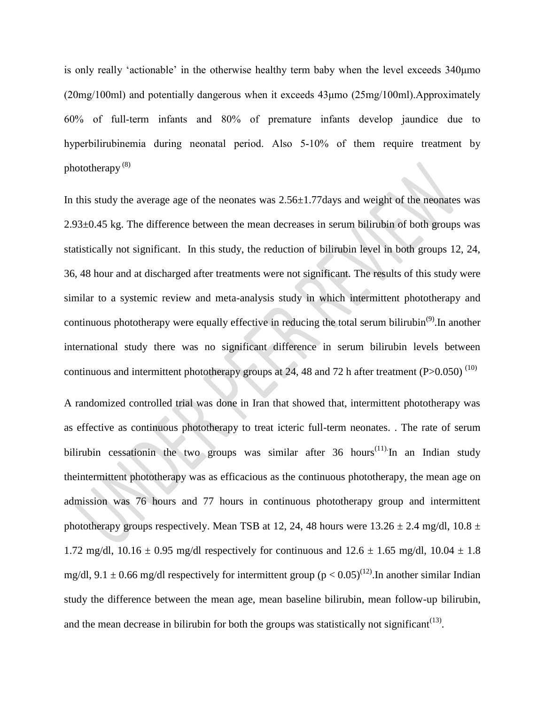is only really 'actionable' in the otherwise healthy term baby when the level exceeds 340μmo  $(20mg/100m)$  and potentially dangerous when it exceeds  $43\mu$ mo  $(25mg/100m)$ . Approximately 60% of full‑term infants and 80% of premature infants develop jaundice due to hyperbilirubinemia during neonatal period. Also 5-10% of them require treatment by phototherapy (8)

In this study the average age of the neonates was  $2.56 \pm 1.77$  days and weight of the neonates was 2.93±0.45 kg. The difference between the mean decreases in serum bilirubin of both groups was statistically not significant. In this study, the reduction of bilirubin level in both groups 12, 24, 36, 48 hour and at discharged after treatments were not significant. The results of this study were similar to a systemic review and meta-analysis study in which intermittent phototherapy and continuous phototherapy were equally effective in reducing the total serum bilirubin<sup>(9)</sup>. In another international study there was no significant difference in serum bilirubin levels between continuous and intermittent phototherapy groups at 24, 48 and 72 h after treatment (P $>0.050$ )<sup>(10)</sup>

A randomized controlled trial was done in Iran that showed that, intermittent phototherapy was as effective as continuous phototherapy to treat icteric full-term neonates. . The rate of serum bilirubin cessationin the two groups was similar after  $36$  hours<sup>(11)</sup>. In an Indian study theintermittent phototherapy was as efficacious as the continuous phototherapy, the mean age on admission was 76 hours and 77 hours in continuous phototherapy group and intermittent phototherapy groups respectively. Mean TSB at 12, 24, 48 hours were  $13.26 \pm 2.4$  mg/dl,  $10.8 \pm 10.8$ 1.72 mg/dl, 10.16  $\pm$  0.95 mg/dl respectively for continuous and 12.6  $\pm$  1.65 mg/dl, 10.04  $\pm$  1.8 mg/dl, 9.1  $\pm$  0.66 mg/dl respectively for intermittent group (p < 0.05)<sup>(12)</sup>. In another similar Indian study the difference between the mean age, mean baseline bilirubin, mean follow-up bilirubin, and the mean decrease in bilirubin for both the groups was statistically not significant<sup> $(13)$ </sup>.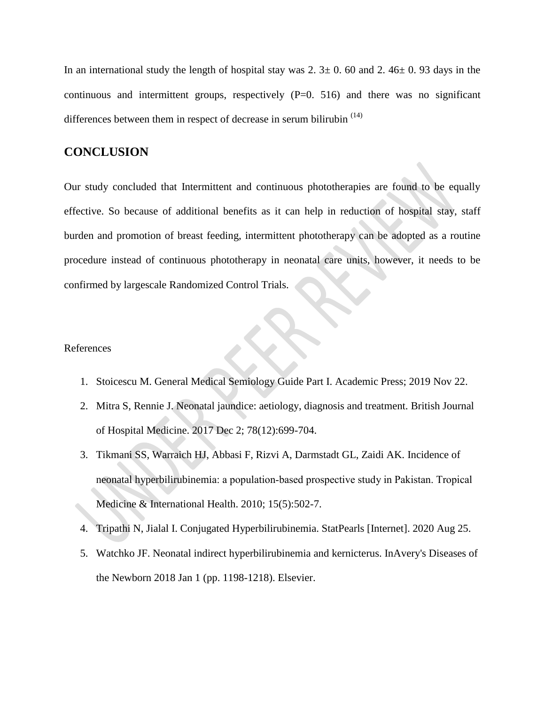In an international study the length of hospital stay was  $2.3 \pm 0.60$  and  $2.46 \pm 0.93$  days in the continuous and intermittent groups, respectively  $(P=0. 516)$  and there was no significant differences between them in respect of decrease in serum bilirubin  $(14)$ 

#### **CONCLUSION**

Our study concluded that Intermittent and continuous phototherapies are found to be equally effective. So because of additional benefits as it can help in reduction of hospital stay, staff burden and promotion of breast feeding, intermittent phototherapy can be adopted as a routine procedure instead of continuous phototherapy in neonatal care units, however, it needs to be confirmed by largescale Randomized Control Trials.

#### References

- 1. Stoicescu M. General Medical Semiology Guide Part I. Academic Press; 2019 Nov 22.
- 2. Mitra S, Rennie J. Neonatal jaundice: aetiology, diagnosis and treatment. British Journal of Hospital Medicine. 2017 Dec 2; 78(12):699-704.
- 3. Tikmani SS, Warraich HJ, Abbasi F, Rizvi A, Darmstadt GL, Zaidi AK. Incidence of neonatal hyperbilirubinemia: a population‐based prospective study in Pakistan. Tropical Medicine & International Health. 2010; 15(5):502-7.
- 4. Tripathi N, Jialal I. Conjugated Hyperbilirubinemia. StatPearls [Internet]. 2020 Aug 25.
- 5. Watchko JF. Neonatal indirect hyperbilirubinemia and kernicterus. InAvery's Diseases of the Newborn 2018 Jan 1 (pp. 1198-1218). Elsevier.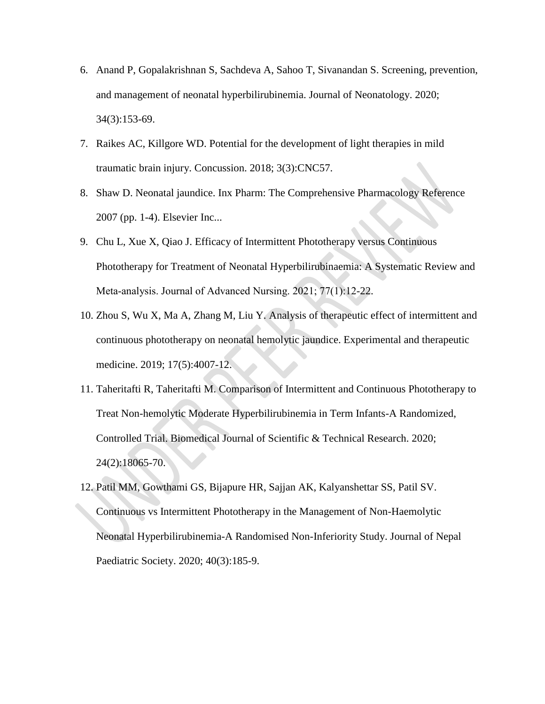- 6. Anand P, Gopalakrishnan S, Sachdeva A, Sahoo T, Sivanandan S. Screening, prevention, and management of neonatal hyperbilirubinemia. Journal of Neonatology. 2020; 34(3):153-69.
- 7. Raikes AC, Killgore WD. Potential for the development of light therapies in mild traumatic brain injury. Concussion. 2018; 3(3):CNC57.
- 8. Shaw D. Neonatal jaundice. Inx Pharm: The Comprehensive Pharmacology Reference 2007 (pp. 1-4). Elsevier Inc...
- 9. Chu L, Xue X, Qiao J. Efficacy of Intermittent Phototherapy versus Continuous Phototherapy for Treatment of Neonatal Hyperbilirubinaemia: A Systematic Review and Meta-analysis. Journal of Advanced Nursing. 2021; 77(1):12-22.
- 10. Zhou S, Wu X, Ma A, Zhang M, Liu Y. Analysis of therapeutic effect of intermittent and continuous phototherapy on neonatal hemolytic jaundice. Experimental and therapeutic medicine. 2019; 17(5):4007-12.
- 11. Taheritafti R, Taheritafti M. Comparison of Intermittent and Continuous Phototherapy to Treat Non-hemolytic Moderate Hyperbilirubinemia in Term Infants-A Randomized, Controlled Trial. Biomedical Journal of Scientific & Technical Research. 2020; 24(2):18065-70.
- 12. Patil MM, Gowthami GS, Bijapure HR, Sajjan AK, Kalyanshettar SS, Patil SV. Continuous vs Intermittent Phototherapy in the Management of Non-Haemolytic Neonatal Hyperbilirubinemia-A Randomised Non-Inferiority Study. Journal of Nepal Paediatric Society. 2020; 40(3):185-9.